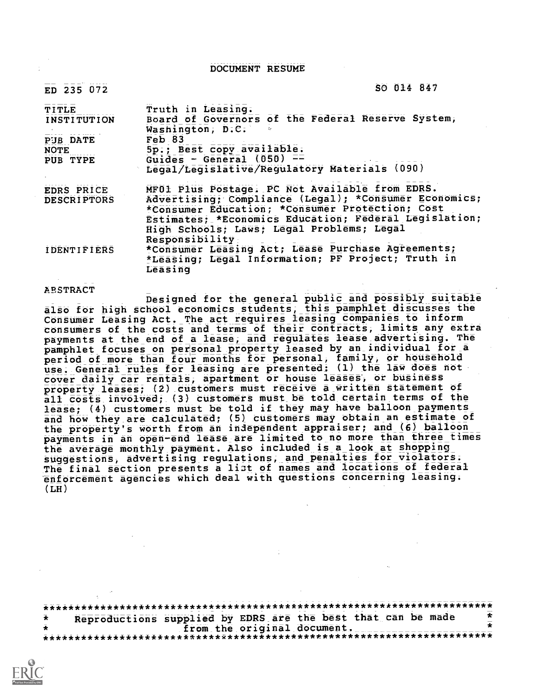DOCUMENT RESUME

 $ED$  235 072 SO 014 847

| Truth in Leasing.<br>Board of Governors of the Federal Reserve System, |
|------------------------------------------------------------------------|
| Washington; D.C.                                                       |
| Feb 83                                                                 |
| 5p.; Best copy available.                                              |
| Guides - General $(050)$ --                                            |
| Legal/Legislative/Regulatory Materials (090)                           |
| MF01 Plus Postage. PC Not Available from EDRS.                         |
| Advertising; Compliance (Legal); *Consumer Economics;                  |
| *Consumer Education; *Consumer Protection; Cost                        |
| Estimates; *Economics Education; Federal Legislation;                  |
| High Schools; Laws; Legal Problems; Legal                              |
| Responsibility                                                         |
| *Consumer Leasing Act; Lease Purchase Agreements;                      |
| *Leasing; Legal Information; PF Project; Truth in                      |
| Leasing                                                                |
|                                                                        |

ABSTRACT

Designed for the general public and possibly suitable also for high school economics students, this pamphiet discusses the Consumer Leasing Act. The act requires leasing companies to inform consumers of the costs and terms of their contracts, limits any extra payments at the end of a lease, and regulates lease advertising. The pamphlet focuses on peisonal property leased by an individual for a period of more than four months for personal, family, or houtehold use. General rules for leasing are presented: (1) the law does not cover daily car rentals, apartment or house leases, or business property leases; (2) customers must receive a written statement of all costs involved; (3) customers must be told certain terms of the lease; (4) customers must be told if they may have balloon payments and how they are calculated; (5) customers may obtain an estimate of the property's worth from an independent appraiser; and (6) balloon payments in an open-end lease are limited to no more than three times the average monthly payment. Also included is a look at shopping suggestions, advertising regulations, and penalties for violators. The final section presents a list of names and locations of federal enforcement agencies which deal with questions concerning leasing.  $(LH)$ 

\*\*\*\*\*\*\*\*\*\*\*\*\*\*\*\*\*\*\*\*\*\*\*\*\*\*\*\*\*\*\*\*\*\*\*\*\*\*\*\*\*\*\*\*\*\*\*\*\*\*\*\*\*\*\*\*\*\*\*\*\*\*\*\*\*\*\*\*\*\*\* Reproductions supplied by EDRS are the best that can be made<br>from the original document. \* from the original document. \* \*\*\*\*\*\*\*\*\*\*\*\*\*\*\*\*\*\*\*\*\*\*\*\*\*\*\*\*\*\*\*\*\*\*\*\*\*\*\*\*\*\*\*\*\*\*\*\*\*\*\*\*\*\*\*\*\*\*\*\*\*\*\*\*\*\*\*\*\*\*\*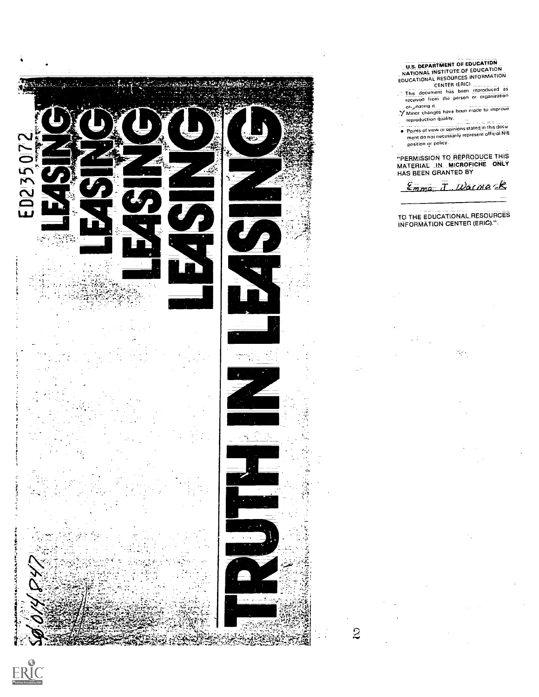

U.S. DEPARTMENT OE EDUCATION<br>
NATIONAL INSTITUTE OF EDUCATION<br>
EDUCATIONAL RESOURCES-INFORMATION<br>
CENTER (ERIC)<br>
This document has been reproduced as<br>
received from the person or organization ori,inating it Minor changes have been made to improve reproduction quality. Points of view or opinions stated in this d ocu ment do not necessarily represent official NIE position or policy. "PERMISSION TO REPRODUCE THIS MATERIAL IN \_MICROFICHE ONLY HAS BEEN GRANTED BY Emma J. Walnack TO THE EDUCATIONALRESOURCES INFORMATION CENTER (ERIC)."-

К,

 $\ddot{z}$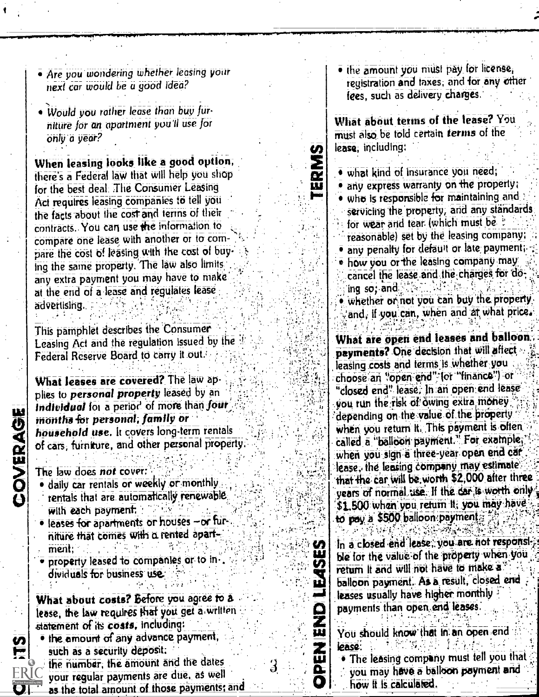- Are you wondering whether leasing your next car would be a good idea?
- Would you rather lease than buy furniture for an apartment you'll use for only a year?

When leasing looks like a good option, there's a Federal law that will help you shop for the best deal. The Consumer Leasing Act requires leasing companies to tell you the facts about the cost and terms of their contracts. You can use the information to compare one lease with another or to compare the cost of leasing with the cost of buying the same property. The law also limits any extra payment you may have to make at the end of a lease and regulates lease advertising.

This pamphlet describes the Consumer Leasing Act and the regulation issued by the Federal Reserve Board to carry it out.

What leases are covered? The law applies to personal property leased by an Individual for a period of more than four months for personal, family or household use. It covers long-term rentals of cars, furniture, and other personal property.

The law does not cover:

COVERAGE

O]

- daily car rentals or weekly or monthly rentals that are automatically renewable with each payment:
- · leases for apartments or houses -or furniture that comes with a rented apart $ment:$
- property leased to companies or to individuals for business use.

What about costs? Before you agree to a lease, the law requires that you get a written statement of its costs, including: . the amount of any advance payment, such as a security deposit: the number, the amount and the dates

your regular payments are due, as well as the total amount of those payments; and . the amount you must pay for license, registration and taxes, and for any other fees, such as delivery charges.

What about terms of the lease? You must also be told certain terms of the lease, including:

· what kind of insurance you need;

TERMS

**U)** 

ш

**UEAS** 

日本

孟山

O

3

- · any express warranty on the property;
- . who is responsible for maintaining and servicing the property, and any standards for wear and tear (which must be " reasonable) set by the leasing company;
- · any penalty for default or late payment;
- . how you or the leasing company may cancel the lease and the charges for doing so; and
- . whether or not you can buy the property. and, if you can, when and at what price.

What are open end leases and balloon payments? One decision that will affect leasing costs and terms is whether you choose an "open end" for "finance") or "closed end" lease, In an open end lease you run the risk of owing extra money. depending on the value of the property when you return it. This payment is often called a "balloon payment." For example, when you sign a three-year open end car lease, the leasing company may estimate that the car will be worth \$2,000 after three years of normal use. If the dar is worth only. \$1,500 when you return it, you may have to pay a \$500 balloon payment.

In a closed end lease, you are not responsible for the value of the property when you return It and will not have to make a balloon payment. As a result, closed end leases usually have higher monthly payments than open end leases.

You should know that in an open end lease: .

. The leasing company must tell you that you may have a balloon payment and how it is calculated.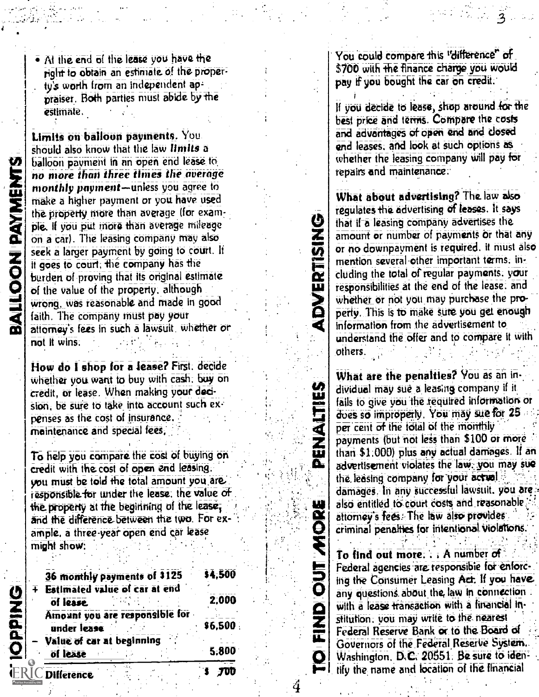BALLOON PAYMENTS

At the end of the lease you have the right to obtain an estimate of the proper ty's worth from an independent appraiser. Both parties must abide by he estimate,

, .

Limits on balloon payments. You. should also know that the law limits a balloon payment in an open end lease to. no more than three times the average monthly payment-unless you agree to make a higher payment or you have used the property more than average (for example., If you put more than average mileage on a car). The leasing company may also seek a larger payment by going to court. It it goes to court; the company has the burden of proving that its original estimate of the value of the property, although wrong. was reasonable and made in good faith. The company must pay your attorney's fees in such a lawsuit. whether or not it wins.

Now do I shop for a lease? First. decide whether you want to buy with cash. buy on credit, or lease. When making your decision, be sure to take into account such expenses as the cost of insurance. maintenance and special fees,

To help you compare the cost of buying on credit with the cost of open end leasing. you must be told the total amount you.are: responsible for under the lease. the value of the property at the beginning of the lease, and the difference between the two. For example. a three-year open end car lease might show:

| 36 monthly payments of \$125   | \$4,500 |  |
|--------------------------------|---------|--|
| Estimated value of car at end  |         |  |
| of lease                       | 2.000   |  |
| Amount you are responsible for |         |  |
| under lease                    | \$6,500 |  |
| Value of car at beginning      |         |  |
| of lease                       | 5.800   |  |
|                                |         |  |

You could compare this "difference" of \$700 with the finance charge you would pay if you bought the car on credit.

If you decide to lease, shop around for the best price and terms. Compare the costs and advantages Of open erid and closed end leases; and look at such options as whether the leasing company will pay for repairs and maintenance..

What about advertising? The law also regulates the advertising of leases. It says that if-a leasing company advertises the amount or number of payments Or that any or no downpayment is required. it must also mention several other important terms. including the total of regular payments. your responsibilities at the end of the lease. and whether or not you may purchase the property. This is to make sure you get enough information from the advertisement to understand the offer and to compare it with others.

ADVERTISIN

SULTVANG

FIND OUT MORE

What are the penalties? You as an individual may sue-a: leasing company if it fails to give you the required information or does so improperly. You may sue for 25 per cent of the total of the monthly payments (but not less than \$100 or more than \$1:000) plus any actual damages. If an advertisement violates the law, you may sue the leasing company for your actual. damages. In any successful lawsuit. you arc, also entitled to court costs and reasonable attorney's fees-The law also provides. criminal penalties for intentional Violations.

Washington. D.C. 20551. Be sure to iden-To find out more.  $\therefore$  A number of Federal agencies are responsible for enforcing the Consumer Leasing Act. If you have any questions about the law in connection with a lease transaction with a financial institution, you may write to the. nearest Federal Reserve Bank or to the Board of Governors of the Federal Reserve System. tify the name and location of the financial

**ERIC** Difference

**IOPPING** 

.

4